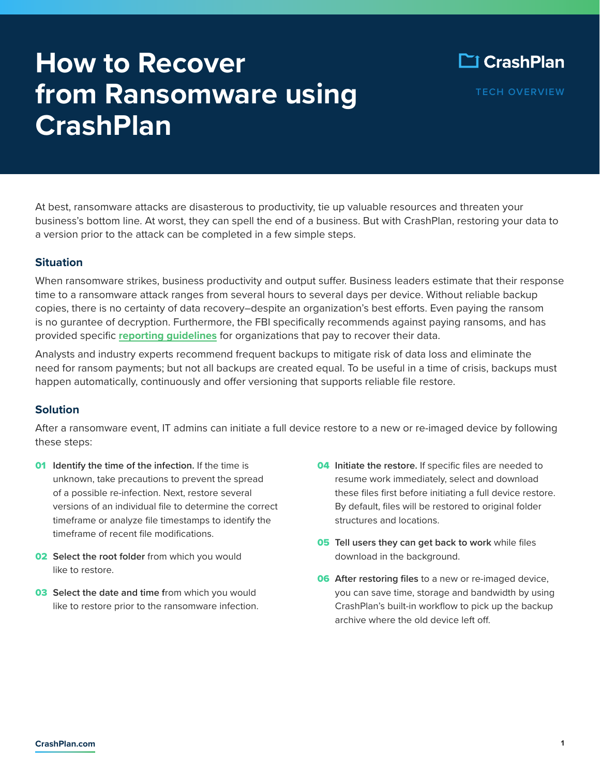# **How to Recover from Ransomware using CrashPlan**

**TECH OVERVIEW**

At best, ransomware attacks are disasterous to productivity, tie up valuable resources and threaten your business's bottom line. At worst, they can spell the end of a business. But with CrashPlan, restoring your data to a version prior to the attack can be completed in a few simple steps.

## **Situation**

When ransomware strikes, business productivity and output suffer. Business leaders estimate that their response time to a ransomware attack ranges from several hours to several days per device. Without reliable backup copies, there is no certainty of data recovery–despite an organization's best efforts. Even paying the ransom is no gurantee of decryption. Furthermore, the FBI specifically recommends against paying ransoms, and has provided specific **[reporting guidelines](https://www.fbi.gov/scams-and-safety/common-scams-and-crimes/ransomware#:~:text=The%20FBI%20does%20not%20support,this%20type%20of%20illegal%20activity)** for organizations that pay to recover their data.

Analysts and industry experts recommend frequent backups to mitigate risk of data loss and eliminate the need for ransom payments; but not all backups are created equal. To be useful in a time of crisis, backups must happen automatically, continuously and offer versioning that supports reliable file restore.

## **Solution**

After a ransomware event, IT admins can initiate a full device restore to a new or re-imaged device by following these steps:

- 01 **Identify the time of the infection.** If the time is unknown, take precautions to prevent the spread of a possible re-infection. Next, restore several versions of an individual file to determine the correct timeframe or analyze file timestamps to identify the timeframe of recent file modifications.
- **02 Select the root folder** from which you would like to restore.
- **03** Select the date and time from which you would like to restore prior to the ransomware infection.
- 04 **Initiate the restore.** If specific files are needed to resume work immediately, select and download these files first before initiating a full device restore. By default, files will be restored to original folder structures and locations.
- 05 **Tell users they can get back to work** while files download in the background.
- 06 **After restoring files** to a new or re-imaged device, you can save time, storage and bandwidth by using CrashPlan's built-in workflow to pick up the backup archive where the old device left off.